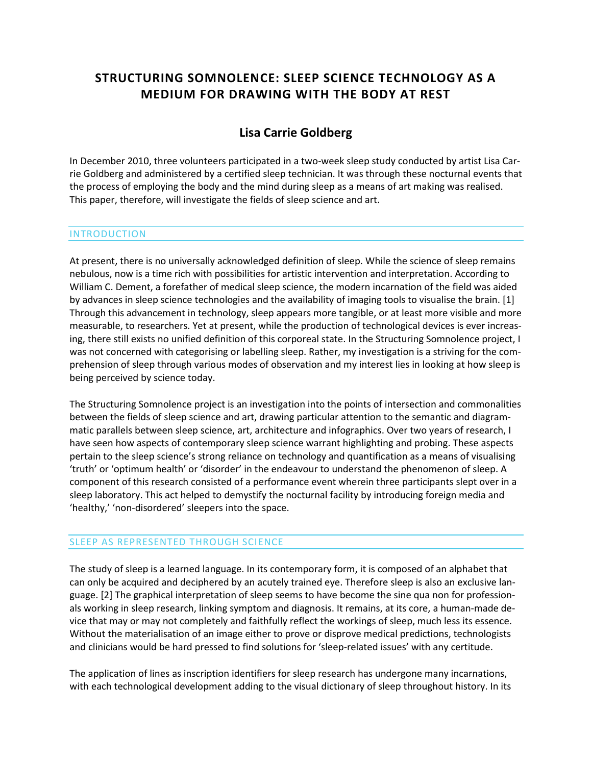# **STRUCTURING SOMNOLENCE: SLEEP SCIENCE TECHNOLOGY AS A MEDIUM FOR DRAWING WITH THE BODY AT REST**

## **[Lisa Carrie Goldberg](http://isea2011.sabanciuniv.edu/-450.html)**

In December 2010, three volunteers participated in a two-week sleep study conducted by artist Lisa Carrie Goldberg and administered by a certified sleep technician. It was through these nocturnal events that the process of employing the body and the mind during sleep as a means of art making was realised. This paper, therefore, will investigate the fields of sleep science and art.

#### INTRODUCTION

At present, there is no universally acknowledged definition of sleep. While the science of sleep remains nebulous, now is a time rich with possibilities for artistic intervention and interpretation. According to William C. Dement, a forefather of medical sleep science, the modern incarnation of the field was aided by advances in sleep science technologies and the availability of imaging tools to visualise the brain. [1] Through this advancement in technology, sleep appears more tangible, or at least more visible and more measurable, to researchers. Yet at present, while the production of technological devices is ever increasing, there still exists no unified definition of this corporeal state. In the Structuring Somnolence project, I was not concerned with categorising or labelling sleep. Rather, my investigation is a striving for the comprehension of sleep through various modes of observation and my interest lies in looking at how sleep is being perceived by science today.

The Structuring Somnolence project is an investigation into the points of intersection and commonalities between the fields of sleep science and art, drawing particular attention to the semantic and diagrammatic parallels between sleep science, art, architecture and infographics. Over two years of research, I have seen how aspects of contemporary sleep science warrant highlighting and probing. These aspects pertain to the sleep science's strong reliance on technology and quantification as a means of visualising 'truth' or 'optimum health' or 'disorder' in the endeavour to understand the phenomenon of sleep. A component of this research consisted of a performance event wherein three participants slept over in a sleep laboratory. This act helped to demystify the nocturnal facility by introducing foreign media and 'healthy,' 'non-disordered' sleepers into the space.

#### SLEEP AS REPRESENTED THROUGH SCIENCE

The study of sleep is a learned language. In its contemporary form, it is composed of an alphabet that can only be acquired and deciphered by an acutely trained eye. Therefore sleep is also an exclusive language. [2] The graphical interpretation of sleep seems to have become the sine qua non for professionals working in sleep research, linking symptom and diagnosis. It remains, at its core, a human-made device that may or may not completely and faithfully reflect the workings of sleep, much less its essence. Without the materialisation of an image either to prove or disprove medical predictions, technologists and clinicians would be hard pressed to find solutions for 'sleep-related issues' with any certitude.

The application of lines as inscription identifiers for sleep research has undergone many incarnations, with each technological development adding to the visual dictionary of sleep throughout history. In its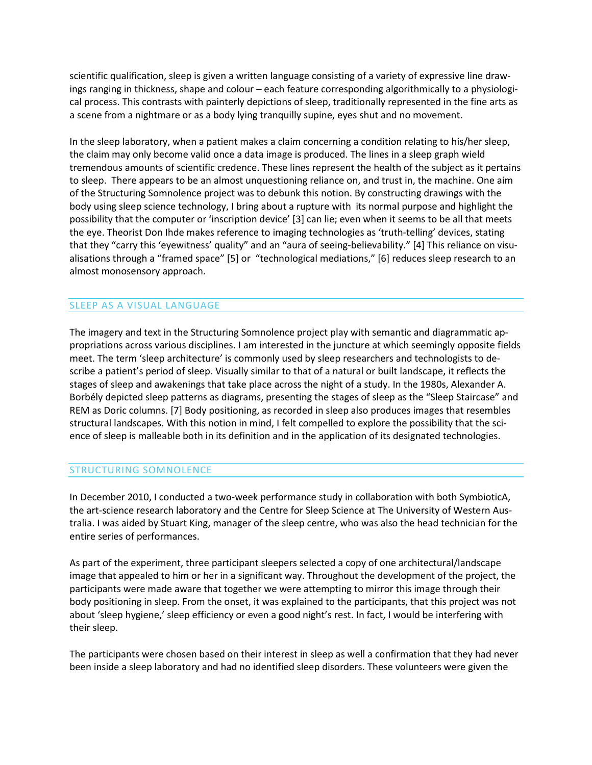scientific qualification, sleep is given a written language consisting of a variety of expressive line drawings ranging in thickness, shape and colour – each feature corresponding algorithmically to a physiological process. This contrasts with painterly depictions of sleep, traditionally represented in the fine arts as a scene from a nightmare or as a body lying tranquilly supine, eyes shut and no movement.

In the sleep laboratory, when a patient makes a claim concerning a condition relating to his/her sleep, the claim may only become valid once a data image is produced. The lines in a sleep graph wield tremendous amounts of scientific credence. These lines represent the health of the subject as it pertains to sleep. There appears to be an almost unquestioning reliance on, and trust in, the machine. One aim of the Structuring Somnolence project was to debunk this notion. By constructing drawings with the body using sleep science technology, I bring about a rupture with its normal purpose and highlight the possibility that the computer or 'inscription device' [3] can lie; even when it seems to be all that meets the eye. Theorist Don Ihde makes reference to imaging technologies as 'truth-telling' devices, stating that they "carry this 'eyewitness' quality" and an "aura of seeing-believability." [4] This reliance on visualisations through a "framed space" [5] or "technological mediations," [6] reduces sleep research to an almost monosensory approach.

### SLEEP AS A VISUAL LANGUAGE

The imagery and text in the Structuring Somnolence project play with semantic and diagrammatic appropriations across various disciplines. I am interested in the juncture at which seemingly opposite fields meet. The term 'sleep architecture' is commonly used by sleep researchers and technologists to describe a patient's period of sleep. Visually similar to that of a natural or built landscape, it reflects the stages of sleep and awakenings that take place across the night of a study. In the 1980s, Alexander A. Borbély depicted sleep patterns as diagrams, presenting the stages of sleep as the "Sleep Staircase" and REM as Doric columns. [7] Body positioning, as recorded in sleep also produces images that resembles structural landscapes. With this notion in mind, I felt compelled to explore the possibility that the science of sleep is malleable both in its definition and in the application of its designated technologies.

#### STRUCTURING SOMNOLENCE

In December 2010, I conducted a two-week performance study in collaboration with both SymbioticA, the art-science research laboratory and the Centre for Sleep Science at The University of Western Australia. I was aided by Stuart King, manager of the sleep centre, who was also the head technician for the entire series of performances.

As part of the experiment, three participant sleepers selected a copy of one architectural/landscape image that appealed to him or her in a significant way. Throughout the development of the project, the participants were made aware that together we were attempting to mirror this image through their body positioning in sleep. From the onset, it was explained to the participants, that this project was not about 'sleep hygiene,' sleep efficiency or even a good night's rest. In fact, I would be interfering with their sleep.

The participants were chosen based on their interest in sleep as well a confirmation that they had never been inside a sleep laboratory and had no identified sleep disorders. These volunteers were given the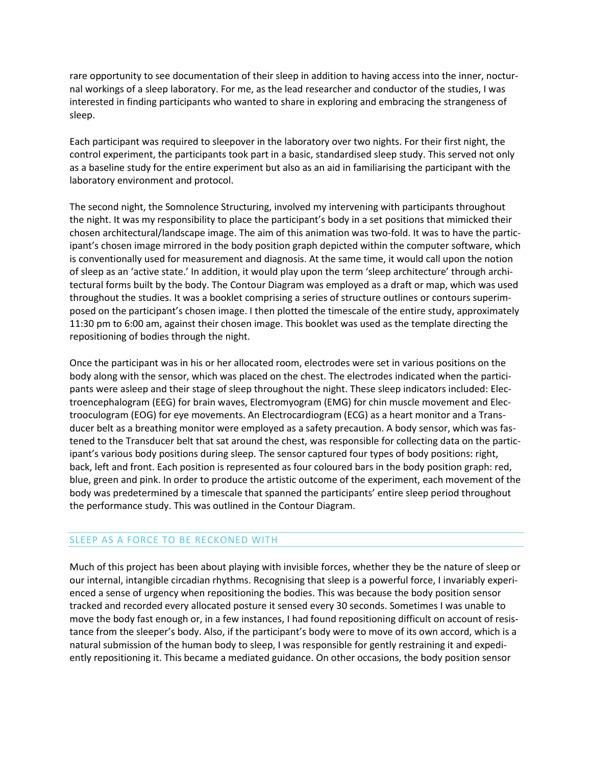rare opportunity to see documentation of their sleep in addition to having access into the inner, nocturnal workings of a sleep laboratory. For me, as the lead researcher and conductor of the studies, I was interested in finding participants who wanted to share in exploring and embracing the strangeness of sleep.

Each participant was required to sleepover in the laboratory over two nights. For their first night, the control experiment, the participants took part in a basic, standardised sleep study. This served not only as a baseline study for the entire experiment but also as an aid in familiarising the participant with the laboratory environment and protocol.

The second night, the Somnolence Structuring, involved my intervening with participants throughout the night. It was my responsibility to place the participant's body in a set positions that mimicked their chosen architectural/landscape image. The aim of this animation was two-fold. It was to have the participant's chosen image mirrored in the body position graph depicted within the computer software, which is conventionally used for measurement and diagnosis. At the same time, it would call upon the notion of sleep as an 'active state.' In addition, it would play upon the term 'sleep architecture' through architectural forms built by the body. The Contour Diagram was employed as a draft or map, which was used throughout the studies. It was a booklet comprising a series of structure outlines or contours superimposed on the participant's chosen image. I then plotted the timescale of the entire study, approximately 11:30 pm to 6:00 am, against their chosen image. This booklet was used as the template directing the repositioning of bodies through the night.

Once the participant was in his or her allocated room, electrodes were set in various positions on the body along with the sensor, which was placed on the chest. The electrodes indicated when the participants were asleep and their stage of sleep throughout the night. These sleep indicators included: Electroencephalogram (EEG) for brain waves, Electromyogram (EMG) for chin muscle movement and Electrooculogram (EOG) for eye movements. An Electrocardiogram (ECG) as a heart monitor and a Transducer belt as a breathing monitor were employed as a safety precaution. A body sensor, which was fastened to the Transducer belt that sat around the chest, was responsible for collecting data on the participant's various body positions during sleep. The sensor captured four types of body positions: right, back, left and front. Each position is represented as four coloured bars in the body position graph: red, blue, green and pink. In order to produce the artistic outcome of the experiment, each movement of the body was predetermined by a timescale that spanned the participants' entire sleep period throughout the performance study. This was outlined in the Contour Diagram.

## SLEEP AS A FORCE TO BE RECKONED WITH

Much of this project has been about playing with invisible forces, whether they be the nature of sleep or our internal, intangible circadian rhythms. Recognising that sleep is a powerful force, I invariably experienced a sense of urgency when repositioning the bodies. This was because the body position sensor tracked and recorded every allocated posture it sensed every 30 seconds. Sometimes I was unable to move the body fast enough or, in a few instances, I had found repositioning difficult on account of resistance from the sleeper's body. Also, if the participant's body were to move of its own accord, which is a natural submission of the human body to sleep, I was responsible for gently restraining it and expediently repositioning it. This became a mediated guidance. On other occasions, the body position sensor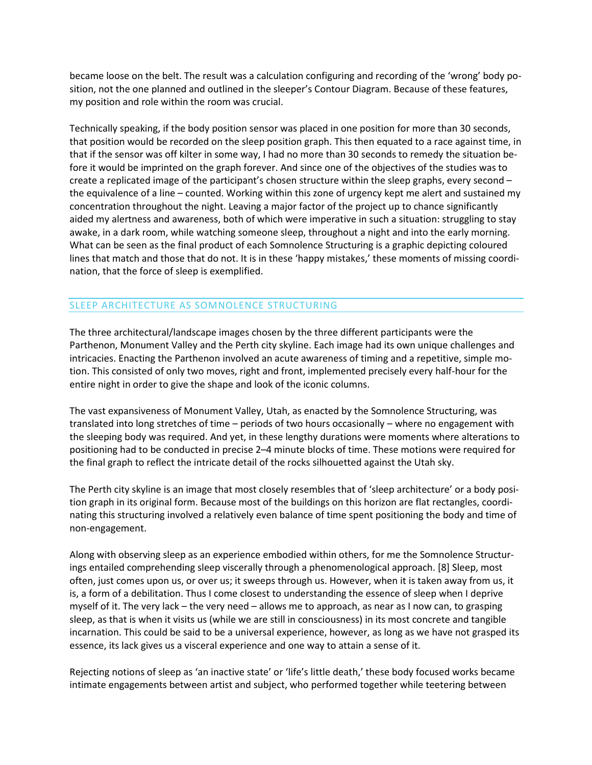became loose on the belt. The result was a calculation configuring and recording of the 'wrong' body position, not the one planned and outlined in the sleeper's Contour Diagram. Because of these features, my position and role within the room was crucial.

Technically speaking, if the body position sensor was placed in one position for more than 30 seconds, that position would be recorded on the sleep position graph. This then equated to a race against time, in that if the sensor was off kilter in some way, I had no more than 30 seconds to remedy the situation before it would be imprinted on the graph forever. And since one of the objectives of the studies was to create a replicated image of the participant's chosen structure within the sleep graphs, every second – the equivalence of a line – counted. Working within this zone of urgency kept me alert and sustained my concentration throughout the night. Leaving a major factor of the project up to chance significantly aided my alertness and awareness, both of which were imperative in such a situation: struggling to stay awake, in a dark room, while watching someone sleep, throughout a night and into the early morning. What can be seen as the final product of each Somnolence Structuring is a graphic depicting coloured lines that match and those that do not. It is in these 'happy mistakes,' these moments of missing coordination, that the force of sleep is exemplified.

## SLEEP ARCHITECTURE AS SOMNOLENCE STRUCTURING

The three architectural/landscape images chosen by the three different participants were the Parthenon, Monument Valley and the Perth city skyline. Each image had its own unique challenges and intricacies. Enacting the Parthenon involved an acute awareness of timing and a repetitive, simple motion. This consisted of only two moves, right and front, implemented precisely every half-hour for the entire night in order to give the shape and look of the iconic columns.

The vast expansiveness of Monument Valley, Utah, as enacted by the Somnolence Structuring, was translated into long stretches of time – periods of two hours occasionally – where no engagement with the sleeping body was required. And yet, in these lengthy durations were moments where alterations to positioning had to be conducted in precise 2–4 minute blocks of time. These motions were required for the final graph to reflect the intricate detail of the rocks silhouetted against the Utah sky.

The Perth city skyline is an image that most closely resembles that of 'sleep architecture' or a body position graph in its original form. Because most of the buildings on this horizon are flat rectangles, coordinating this structuring involved a relatively even balance of time spent positioning the body and time of non-engagement.

Along with observing sleep as an experience embodied within others, for me the Somnolence Structurings entailed comprehending sleep viscerally through a phenomenological approach. [8] Sleep, most often, just comes upon us, or over us; it sweeps through us. However, when it is taken away from us, it is, a form of a debilitation. Thus I come closest to understanding the essence of sleep when I deprive myself of it. The very lack – the very need – allows me to approach, as near as I now can, to grasping sleep, as that is when it visits us (while we are still in consciousness) in its most concrete and tangible incarnation. This could be said to be a universal experience, however, as long as we have not grasped its essence, its lack gives us a visceral experience and one way to attain a sense of it.

Rejecting notions of sleep as 'an inactive state' or 'life's little death,' these body focused works became intimate engagements between artist and subject, who performed together while teetering between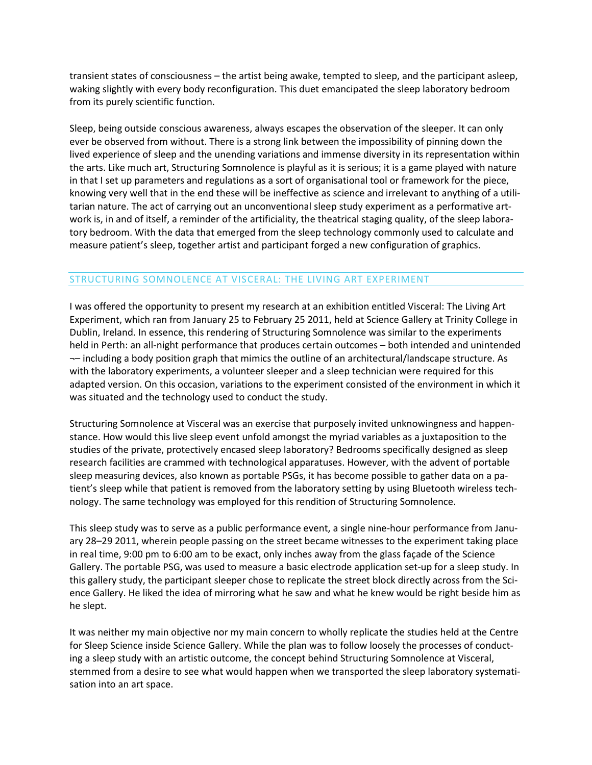transient states of consciousness – the artist being awake, tempted to sleep, and the participant asleep, waking slightly with every body reconfiguration. This duet emancipated the sleep laboratory bedroom from its purely scientific function.

Sleep, being outside conscious awareness, always escapes the observation of the sleeper. It can only ever be observed from without. There is a strong link between the impossibility of pinning down the lived experience of sleep and the unending variations and immense diversity in its representation within the arts. Like much art, Structuring Somnolence is playful as it is serious; it is a game played with nature in that I set up parameters and regulations as a sort of organisational tool or framework for the piece, knowing very well that in the end these will be ineffective as science and irrelevant to anything of a utilitarian nature. The act of carrying out an unconventional sleep study experiment as a performative artwork is, in and of itself, a reminder of the artificiality, the theatrical staging quality, of the sleep laboratory bedroom. With the data that emerged from the sleep technology commonly used to calculate and measure patient's sleep, together artist and participant forged a new configuration of graphics.

### STRUCTURING SOMNOLENCE AT VISCERAL: THE LIVING ART EXPERIMENT

I was offered the opportunity to present my research at an exhibition entitled Visceral: The Living Art Experiment, which ran from January 25 to February 25 2011, held at Science Gallery at Trinity College in Dublin, Ireland. In essence, this rendering of Structuring Somnolence was similar to the experiments held in Perth: an all-night performance that produces certain outcomes – both intended and unintended ¬– including a body position graph that mimics the outline of an architectural/landscape structure. As with the laboratory experiments, a volunteer sleeper and a sleep technician were required for this adapted version. On this occasion, variations to the experiment consisted of the environment in which it was situated and the technology used to conduct the study.

Structuring Somnolence at Visceral was an exercise that purposely invited unknowingness and happenstance. How would this live sleep event unfold amongst the myriad variables as a juxtaposition to the studies of the private, protectively encased sleep laboratory? Bedrooms specifically designed as sleep research facilities are crammed with technological apparatuses. However, with the advent of portable sleep measuring devices, also known as portable PSGs, it has become possible to gather data on a patient's sleep while that patient is removed from the laboratory setting by using Bluetooth wireless technology. The same technology was employed for this rendition of Structuring Somnolence.

This sleep study was to serve as a public performance event, a single nine-hour performance from January 28–29 2011, wherein people passing on the street became witnesses to the experiment taking place in real time, 9:00 pm to 6:00 am to be exact, only inches away from the glass façade of the Science Gallery. The portable PSG, was used to measure a basic electrode application set-up for a sleep study. In this gallery study, the participant sleeper chose to replicate the street block directly across from the Science Gallery. He liked the idea of mirroring what he saw and what he knew would be right beside him as he slept.

It was neither my main objective nor my main concern to wholly replicate the studies held at the Centre for Sleep Science inside Science Gallery. While the plan was to follow loosely the processes of conducting a sleep study with an artistic outcome, the concept behind Structuring Somnolence at Visceral, stemmed from a desire to see what would happen when we transported the sleep laboratory systematisation into an art space.